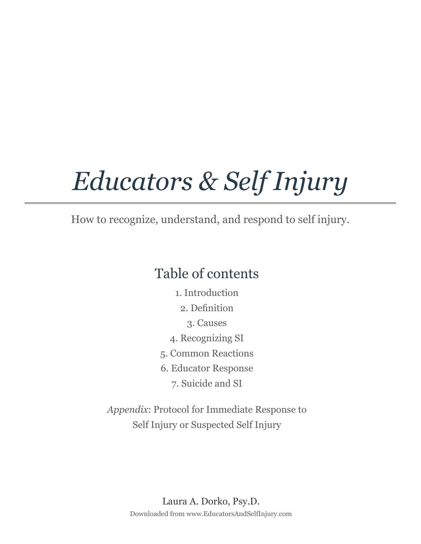# *Educators & Self Injury*

How to recognize, understand, and respond to self injury.

### Table of contents

- 1. Introduction
	- 2. Definition
		- 3. Causes
- 4. Recognizing SI
- 5. Common Reactions
- 6. Educator Response
	- 7. Suicide and SI

*Appendix*: Protocol for Immediate Response to Self Injury or Suspected Self Injury

> Downloaded from www.EducatorsAndSelfInjury.com Laura A. Dorko, Psy.D.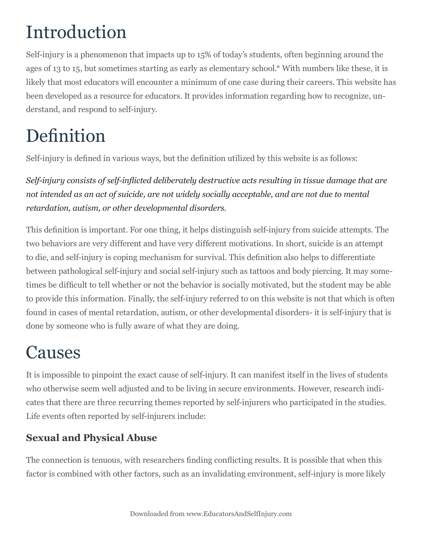### Introduction

Self-injury is a phenomenon that impacts up to 15% of today's students, often beginning around the ages of 13 to 15, but sometimes starting as early as elementary school.\* With numbers like these, it is likely that most educators will encounter a minimum of one case during their careers. This website has been developed as a resource for educators. It provides information regarding how to recognize, understand, and respond to self-injury.

### Definition

Self-injury is defined in various ways, but the definition utilized by this website is as follows:

*Self-injury consists of self-inflicted deliberately destructive acts resulting in tissue damage that are not intended as an act of suicide, are not widely socially acceptable, and are not due to mental retardation, autism, or other developmental disorders.*

This definition is important. For one thing, it helps distinguish self-injury from suicide attempts. The two behaviors are very different and have very different motivations. In short, suicide is an attempt to die, and self-injury is coping mechanism for survival. This definition also helps to differentiate between pathological self-injury and social self-injury such as tattoos and body piercing. It may sometimes be difficult to tell whether or not the behavior is socially motivated, but the student may be able to provide this information. Finally, the self-injury referred to on this website is not that which is often found in cases of mental retardation, autism, or other developmental disorders- it is self-injury that is done by someone who is fully aware of what they are doing.

### Causes

It is impossible to pinpoint the exact cause of self-injury. It can manifest itself in the lives of students who otherwise seem well adjusted and to be living in secure environments. However, research indicates that there are three recurring themes reported by self-injurers who participated in the studies. Life events often reported by self-injurers include:

#### **Sexual and Physical Abuse**

The connection is tenuous, with researchers finding conflicting results. It is possible that when this factor is combined with other factors, such as an invalidating environment, self-injury is more likely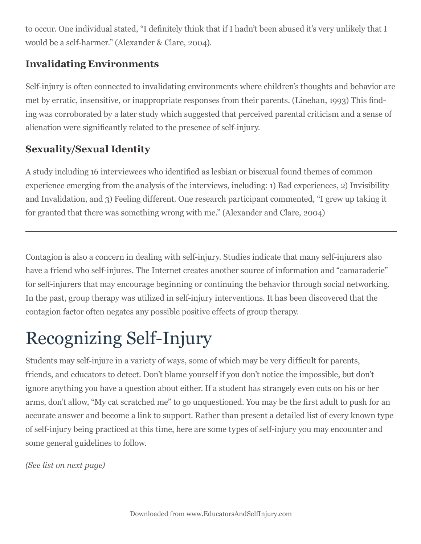to occur. One individual stated, "I definitely think that if I hadn't been abused it's very unlikely that I would be a self-harmer." (Alexander & Clare, 2004).

#### **Invalidating Environments**

Self-injury is often connected to invalidating environments where children's thoughts and behavior are met by erratic, insensitive, or inappropriate responses from their parents. (Linehan, 1993) This finding was corroborated by a later study which suggested that perceived parental criticism and a sense of alienation were significantly related to the presence of self-injury.

#### **Sexuality/Sexual Identity**

A study including 16 interviewees who identified as lesbian or bisexual found themes of common experience emerging from the analysis of the interviews, including: 1) Bad experiences, 2) Invisibility and Invalidation, and 3) Feeling different. One research participant commented, "I grew up taking it for granted that there was something wrong with me." (Alexander and Clare, 2004)

Contagion is also a concern in dealing with self-injury. Studies indicate that many self-injurers also have a friend who self-injures. The Internet creates another source of information and "camaraderie" for self-injurers that may encourage beginning or continuing the behavior through social networking. In the past, group therapy was utilized in self-injury interventions. It has been discovered that the contagion factor often negates any possible positive effects of group therapy.

## Recognizing Self-Injury

Students may self-injure in a variety of ways, some of which may be very difficult for parents, friends, and educators to detect. Don't blame yourself if you don't notice the impossible, but don't ignore anything you have a question about either. If a student has strangely even cuts on his or her arms, don't allow, "My cat scratched me" to go unquestioned. You may be the first adult to push for an accurate answer and become a link to support. Rather than present a detailed list of every known type of self-injury being practiced at this time, here are some types of self-injury you may encounter and some general guidelines to follow.

*(See list on next page)*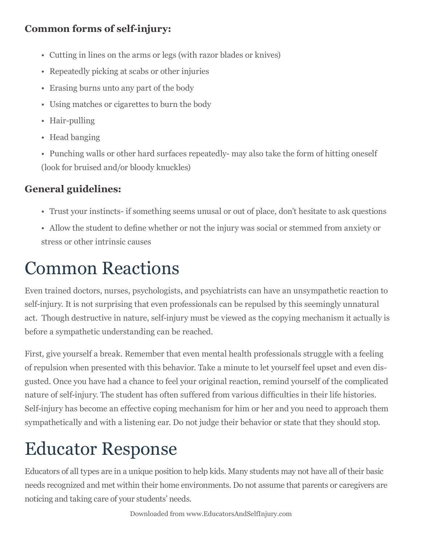#### **Common forms of self-injury:**

- Cutting in lines on the arms or legs (with razor blades or knives)
- Repeatedly picking at scabs or other injuries
- Erasing burns unto any part of the body
- Using matches or cigarettes to burn the body
- Hair-pulling
- Head banging
- Punching walls or other hard surfaces repeatedly- may also take the form of hitting oneself (look for bruised and/or bloody knuckles)

#### **General guidelines:**

- Trust your instincts- if something seems unusal or out of place, don't hesitate to ask questions
- Allow the student to define whether or not the injury was social or stemmed from anxiety or stress or other intrinsic causes

### Common Reactions

Even trained doctors, nurses, psychologists, and psychiatrists can have an unsympathetic reaction to self-injury. It is not surprising that even professionals can be repulsed by this seemingly unnatural act. Though destructive in nature, self-injury must be viewed as the copying mechanism it actually is before a sympathetic understanding can be reached.

First, give yourself a break. Remember that even mental health professionals struggle with a feeling of repulsion when presented with this behavior. Take a minute to let yourself feel upset and even disgusted. Once you have had a chance to feel your original reaction, remind yourself of the complicated nature of self-injury. The student has often suffered from various difficulties in their life histories. Self-injury has become an effective coping mechanism for him or her and you need to approach them sympathetically and with a listening ear. Do not judge their behavior or state that they should stop.

### Educator Response

Educators of all types are in a unique position to help kids. Many students may not have all of their basic needs recognized and met within their home environments. Do not assume that parents or caregivers are noticing and taking care of your students' needs.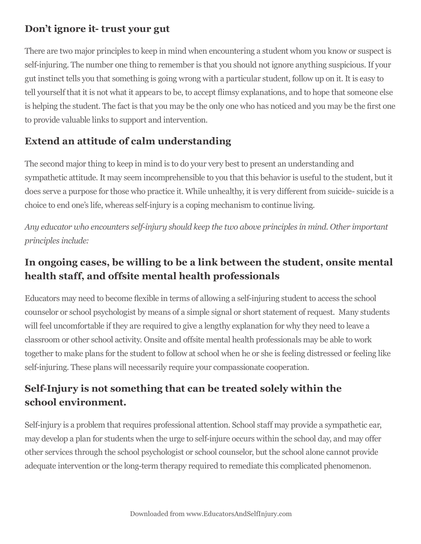#### **Don't ignore it- trust your gut**

There are two major principles to keep in mind when encountering a student whom you know or suspect is self-injuring. The number one thing to remember is that you should not ignore anything suspicious. If your gut instinct tells you that something is going wrong with a particular student, follow up on it. It is easy to tell yourself that it is not what it appears to be, to accept flimsy explanations, and to hope that someone else is helping the student. The fact is that you may be the only one who has noticed and you may be the first one to provide valuable links to support and intervention.

#### **Extend an attitude of calm understanding**

The second major thing to keep in mind is to do your very best to present an understanding and sympathetic attitude. It may seem incomprehensible to you that this behavior is useful to the student, but it does serve a purpose for those who practice it. While unhealthy, it is very different from suicide- suicide is a choice to end one's life, whereas self-injury is a coping mechanism to continue living.

*Any educator who encounters self-injury should keep the two above principles in mind. Other important principles include:*

#### **In ongoing cases, be willing to be a link between the student, onsite mental health staff, and offsite mental health professionals**

Educators may need to become flexible in terms of allowing a self-injuring student to access the school counselor or school psychologist by means of a simple signal or short statement of request. Many students will feel uncomfortable if they are required to give a lengthy explanation for why they need to leave a classroom or other school activity. Onsite and offsite mental health professionals may be able to work together to make plans for the student to follow at school when he or she is feeling distressed or feeling like self-injuring. These plans will necessarily require your compassionate cooperation.

#### **Self-Injury is not something that can be treated solely within the school environment.**

Self-injury is a problem that requires professional attention. School staff may provide a sympathetic ear, may develop a plan for students when the urge to self-injure occurs within the school day, and may offer other services through the school psychologist or school counselor, but the school alone cannot provide adequate intervention or the long-term therapy required to remediate this complicated phenomenon.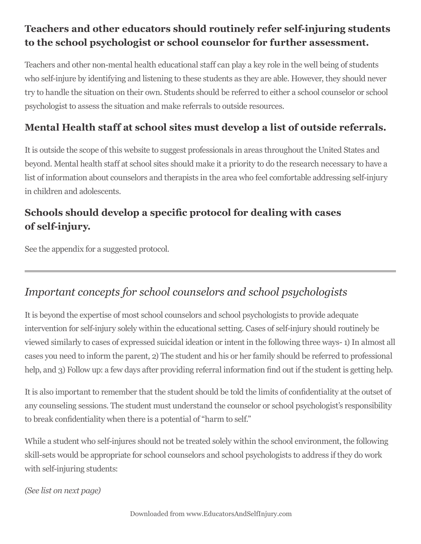#### **Teachers and other educators should routinely refer self-injuring students to the school psychologist or school counselor for further assessment.**

Teachers and other non-mental health educational staff can play a key role in the well being of students who self-injure by identifying and listening to these students as they are able. However, they should never try to handle the situation on their own. Students should be referred to either a school counselor or school psychologist to assess the situation and make referrals to outside resources.

#### **Mental Health staff at school sites must develop a list of outside referrals.**

It is outside the scope of this website to suggest professionals in areas throughout the United States and beyond. Mental health staff at school sites should make it a priority to do the research necessary to have a list of information about counselors and therapists in the area who feel comfortable addressing self-injury in children and adolescents.

#### **Schools should develop a specific protocol for dealing with cases of self-injury.**

See the appendix for a suggested protocol.

#### *Important concepts for school counselors and school psychologists*

It is beyond the expertise of most school counselors and school psychologists to provide adequate intervention for self-injury solely within the educational setting. Cases of self-injury should routinely be viewed similarly to cases of expressed suicidal ideation or intent in the following three ways- 1) In almost all cases you need to inform the parent, 2) The student and his or her family should be referred to professional help, and 3) Follow up: a few days after providing referral information find out if the student is getting help.

It is also important to remember that the student should be told the limits of confidentiality at the outset of any counseling sessions. The student must understand the counselor or school psychologist's responsibility to break confidentiality when there is a potential of "harm to self."

While a student who self-injures should not be treated solely within the school environment, the following skill-sets would be appropriate for school counselors and school psychologists to address if they do work with self-injuring students:

*(See list on next page)*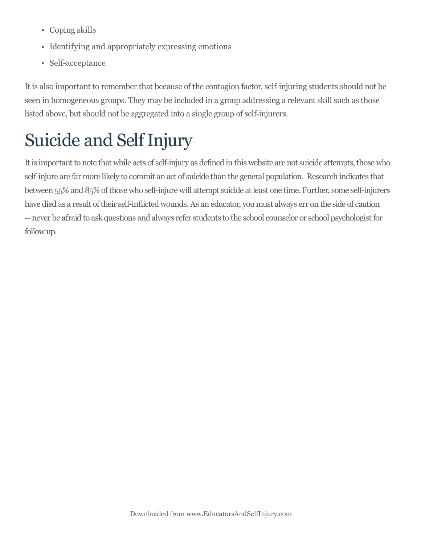- Coping skills
- Identifying and appropriately expressing emotions
- Self-acceptance

It is also important to remember that because of the contagion factor, self-injuring students should not be seen in homogeneous groups. They may be included in a group addressing a relevant skill such as those listed above, but should not be aggregated into a single group of self-injurers.

### Suicide and Self Injury

It is important to note that while acts of self-injury as defined in this website are not suicide attempts, those who self-injure are far more likely to commit an act of suicide than the general population. Research indicates that between 55% and 85% of those who self-injure will attempt suicide at least one time. Further, some self-injurers have died as a result of their self-inflicted wounds. As an educator, you must always err on the side of caution -- never be afraid to ask questions and always refer students to the school counselor or school psychologist for follow up.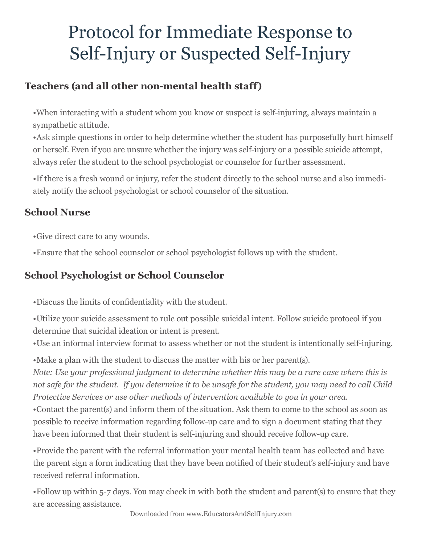### Protocol for Immediate Response to Self-Injury or Suspected Self-Injury

#### **Teachers (and all other non-mental health staff)**

•When interacting with a student whom you know or suspect is self-injuring, always maintain a sympathetic attitude.

•Ask simple questions in order to help determine whether the student has purposefully hurt himself or herself. Even if you are unsure whether the injury was self-injury or a possible suicide attempt, always refer the student to the school psychologist or counselor for further assessment.

•If there is a fresh wound or injury, refer the student directly to the school nurse and also immediately notify the school psychologist or school counselor of the situation.

#### **School Nurse**

•Give direct care to any wounds.

•Ensure that the school counselor or school psychologist follows up with the student.

#### **School Psychologist or School Counselor**

•Discuss the limits of confidentiality with the student.

•Utilize your suicide assessment to rule out possible suicidal intent. Follow suicide protocol if you determine that suicidal ideation or intent is present.

•Use an informal interview format to assess whether or not the student is intentionally self-injuring.

•Make a plan with the student to discuss the matter with his or her parent(s).

*Note: Use your professional judgment to determine whether this may be a rare case where this is not safe for the student. If you determine it to be unsafe for the student, you may need to call Child Protective Services or use other methods of intervention available to you in your area.*

•Contact the parent(s) and inform them of the situation. Ask them to come to the school as soon as possible to receive information regarding follow-up care and to sign a document stating that they have been informed that their student is self-injuring and should receive follow-up care.

•Provide the parent with the referral information your mental health team has collected and have the parent sign a form indicating that they have been notified of their student's self-injury and have received referral information.

•Follow up within 5-7 days. You may check in with both the student and parent(s) to ensure that they are accessing assistance.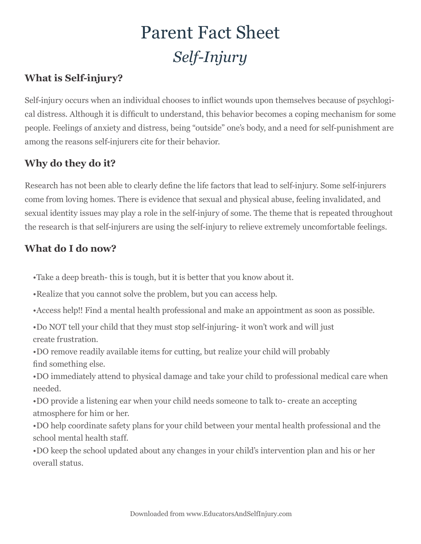### Parent Fact Sheet *Self-Injury*

#### **What is Self-injury?**

Self-injury occurs when an individual chooses to inflict wounds upon themselves because of psychlogical distress. Although it is difficult to understand, this behavior becomes a coping mechanism for some people. Feelings of anxiety and distress, being "outside" one's body, and a need for self-punishment are among the reasons self-injurers cite for their behavior.

#### **Why do they do it?**

Research has not been able to clearly define the life factors that lead to self-injury. Some self-injurers come from loving homes. There is evidence that sexual and physical abuse, feeling invalidated, and sexual identity issues may play a role in the self-injury of some. The theme that is repeated throughout the research is that self-injurers are using the self-injury to relieve extremely uncomfortable feelings.

#### **What do I do now?**

- •Take a deep breath- this is tough, but it is better that you know about it.
- •Realize that you cannot solve the problem, but you can access help.
- •Access help!! Find a mental health professional and make an appointment as soon as possible.
- •Do NOT tell your child that they must stop self-injuring- it won't work and will just create frustration.
- •DO remove readily available items for cutting, but realize your child will probably find something else.
- •DO immediately attend to physical damage and take your child to professional medical care when needed.
- •DO provide a listening ear when your child needs someone to talk to- create an accepting atmosphere for him or her.
- •DO help coordinate safety plans for your child between your mental health professional and the school mental health staff.
- •DO keep the school updated about any changes in your child's intervention plan and his or her overall status.